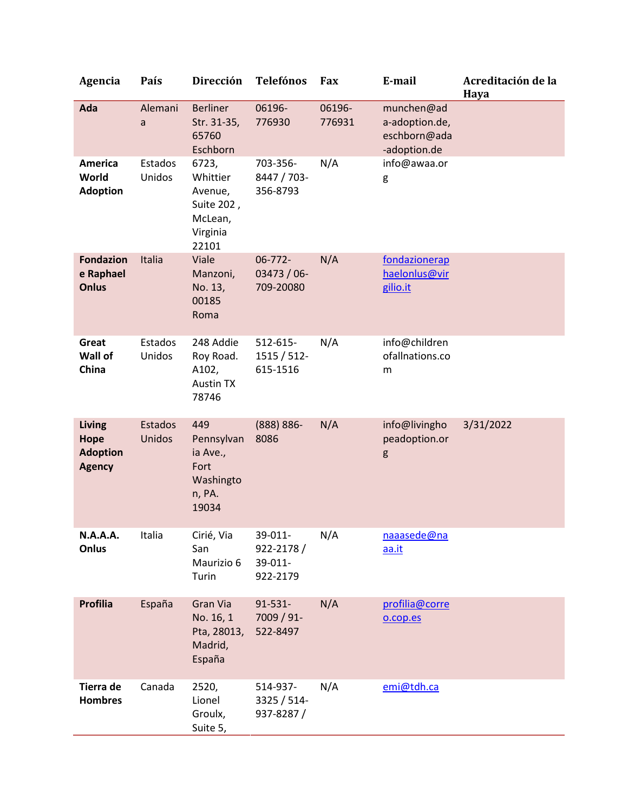| Agencia                                            | País              | <b>Dirección</b>                                                           | <b>Telefónos</b>                            | Fax              | E-mail                                                       | Acreditación de la<br>Haya |
|----------------------------------------------------|-------------------|----------------------------------------------------------------------------|---------------------------------------------|------------------|--------------------------------------------------------------|----------------------------|
| Ada                                                | Alemani<br>a      | <b>Berliner</b><br>Str. 31-35,<br>65760<br>Eschborn                        | 06196-<br>776930                            | 06196-<br>776931 | munchen@ad<br>a-adoption.de,<br>eschborn@ada<br>-adoption.de |                            |
| <b>America</b><br>World<br><b>Adoption</b>         | Estados<br>Unidos | 6723,<br>Whittier<br>Avenue,<br>Suite 202,<br>McLean,<br>Virginia<br>22101 | 703-356-<br>8447 / 703-<br>356-8793         | N/A              | info@awaa.or<br>g                                            |                            |
| <b>Fondazion</b><br>e Raphael<br><b>Onlus</b>      | Italia            | Viale<br>Manzoni,<br>No. 13,<br>00185<br>Roma                              | 06-772-<br>$03473/06$ -<br>709-20080        | N/A              | fondazionerap<br>haelonlus@vir<br>gilio.it                   |                            |
| Great<br>Wall of<br>China                          | Estados<br>Unidos | 248 Addie<br>Roy Road.<br>A102,<br><b>Austin TX</b><br>78746               | 512-615-<br>1515 / 512-<br>615-1516         | N/A              | info@children<br>ofallnations.co<br>m                        |                            |
| Living<br>Hope<br><b>Adoption</b><br><b>Agency</b> | Estados<br>Unidos | 449<br>Pennsylvan<br>ia Ave.,<br>Fort<br>Washingto<br>n, PA.<br>19034      | (888) 886-<br>8086                          | N/A              | info@livingho<br>peadoption.or<br>g                          | 3/31/2022                  |
| N.A.A.A.<br>Onlus                                  | Italia            | Cirié, Via<br>San<br>Maurizio 6<br>Turin                                   | 39-011-<br>922-2178/<br>39-011-<br>922-2179 | N/A              | naaasede@na<br>aa.it                                         |                            |
| <b>Profilia</b>                                    | España            | Gran Via<br>No. 16, 1<br>Pta, 28013,<br>Madrid,<br>España                  | $91 - 531 -$<br>7009 / 91-<br>522-8497      | N/A              | profilia@corre<br>o.cop.es                                   |                            |
| Tierra de<br><b>Hombres</b>                        | Canada            | 2520,<br>Lionel<br>Groulx,<br>Suite 5,                                     | 514-937-<br>3325 / 514-<br>937-8287/        | N/A              | emi@tdh.ca                                                   |                            |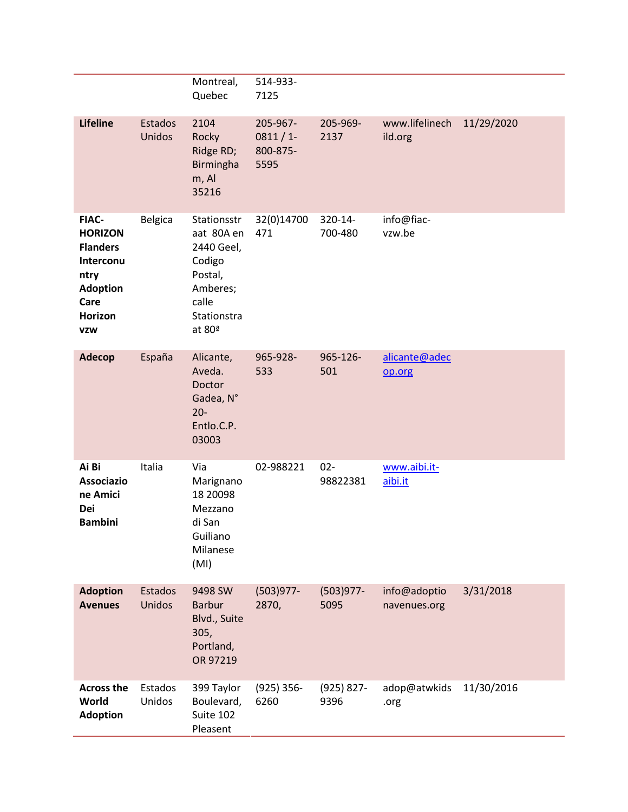|                                                                                                                                   |                          | Montreal,<br>Quebec                                                                                        | 514-933-<br>7125                           |                       |                              |            |
|-----------------------------------------------------------------------------------------------------------------------------------|--------------------------|------------------------------------------------------------------------------------------------------------|--------------------------------------------|-----------------------|------------------------------|------------|
| <b>Lifeline</b>                                                                                                                   | <b>Estados</b><br>Unidos | 2104<br>Rocky<br>Ridge RD;<br><b>Birmingha</b><br>m, Al<br>35216                                           | 205-967-<br>$0811/1$ -<br>800-875-<br>5595 | 205-969-<br>2137      | www.lifelinech<br>ild.org    | 11/29/2020 |
| <b>FIAC-</b><br><b>HORIZON</b><br><b>Flanders</b><br>Interconu<br>ntry<br><b>Adoption</b><br>Care<br><b>Horizon</b><br><b>VZW</b> | <b>Belgica</b>           | Stationsstr<br>aat 80A en<br>2440 Geel,<br>Codigo<br>Postal,<br>Amberes;<br>calle<br>Stationstra<br>at 80ª | 32(0)14700<br>471                          | 320-14-<br>700-480    | info@fiac-<br>vzw.be         |            |
| <b>Adecop</b>                                                                                                                     | España                   | Alicante,<br>Aveda.<br>Doctor<br>Gadea, N°<br>$20 -$<br>Entlo.C.P.<br>03003                                | 965-928-<br>533                            | 965-126-<br>501       | alicante@adec<br>op.org      |            |
| Ai Bi<br><b>Associazio</b><br>ne Amici<br>Dei<br><b>Bambini</b>                                                                   | Italia                   | Via<br>Marignano<br>18 20098<br>Mezzano<br>di San<br>Guiliano<br>Milanese<br>(MI)                          | 02-988221                                  | $02 -$<br>98822381    | www.aibi.it-<br>aibi.it      |            |
| <b>Adoption</b><br><b>Avenues</b>                                                                                                 | Estados<br>Unidos        | 9498 SW<br><b>Barbur</b><br>Blvd., Suite<br>305,<br>Portland,<br>OR 97219                                  | $(503)977 -$<br>2870,                      | $(503)977 -$<br>5095  | info@adoptio<br>navenues.org | 3/31/2018  |
| <b>Across the</b><br>World<br><b>Adoption</b>                                                                                     | Estados<br>Unidos        | 399 Taylor<br>Boulevard,<br>Suite 102<br>Pleasent                                                          | $(925)$ 356-<br>6260                       | $(925) 827 -$<br>9396 | adop@atwkids<br>.org         | 11/30/2016 |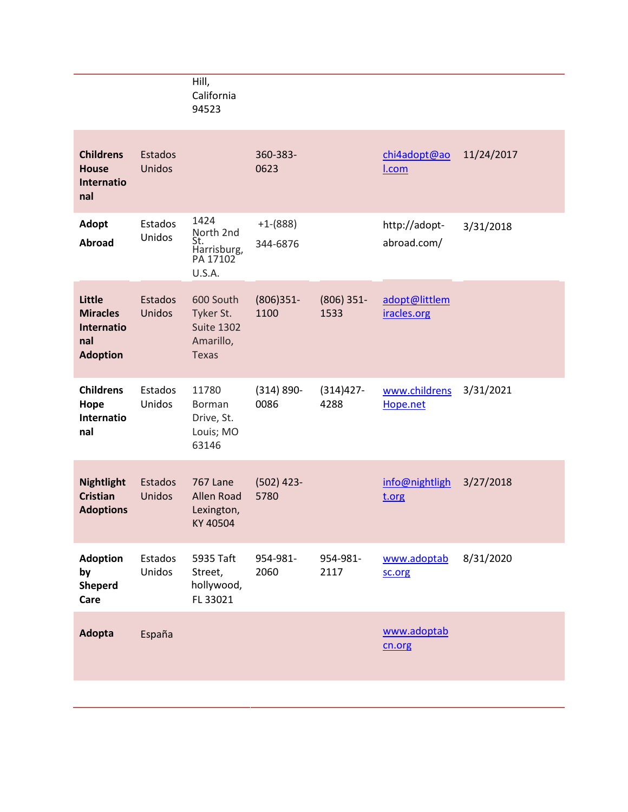|                                                                   |                   | Hill,<br>California<br>94523                                             |                        |                      |                              |            |
|-------------------------------------------------------------------|-------------------|--------------------------------------------------------------------------|------------------------|----------------------|------------------------------|------------|
| <b>Childrens</b><br><b>House</b><br><b>Internatio</b><br>nal      | Estados<br>Unidos |                                                                          | 360-383-<br>0623       |                      | chi4adopt@ao<br>I.com        | 11/24/2017 |
| <b>Adopt</b><br><b>Abroad</b>                                     | Estados<br>Unidos | 1424<br>North 2nd<br>St.<br>Harrisburg,<br>PA 17102<br>U.S.A.            | $+1-(888)$<br>344-6876 |                      | http://adopt-<br>abroad.com/ | 3/31/2018  |
| Little<br><b>Miracles</b><br>Internatio<br>nal<br><b>Adoption</b> | Estados<br>Unidos | 600 South<br>Tyker St.<br><b>Suite 1302</b><br>Amarillo,<br><b>Texas</b> | $(806)351 -$<br>1100   | $(806)$ 351-<br>1533 | adopt@littlem<br>iracles.org |            |
| <b>Childrens</b><br>Hope<br>Internatio<br>nal                     | Estados<br>Unidos | 11780<br>Borman<br>Drive, St.<br>Louis; MO<br>63146                      | $(314) 890 -$<br>0086  | $(314)427 -$<br>4288 | www.childrens<br>Hope.net    | 3/31/2021  |
| <b>Nightlight</b><br><b>Cristian</b><br><b>Adoptions</b>          | Estados<br>Unidos | <b>767 Lane</b><br><b>Allen Road</b><br>Lexington,<br>KY 40504           | $(502)$ 423-<br>5780   |                      | info@nightligh<br>t.org      | 3/27/2018  |
| <b>Adoption</b><br>by<br><b>Sheperd</b><br>Care                   | Estados<br>Unidos | 5935 Taft<br>Street,<br>hollywood,<br>FL 33021                           | 954-981-<br>2060       | 954-981-<br>2117     | www.adoptab<br>sc.org        | 8/31/2020  |
| Adopta                                                            | España            |                                                                          |                        |                      | www.adoptab<br>cn.org        |            |